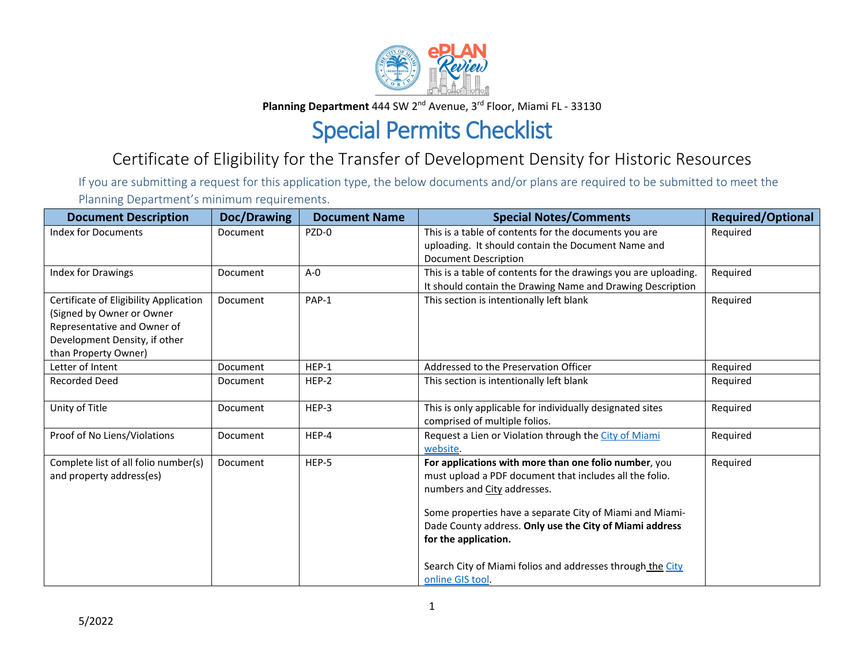

Planning Department 444 SW 2<sup>nd</sup> Avenue, 3<sup>rd</sup> Floor, Miami FL - 33130

## Special Permits Checklist

## Certificate of Eligibility for the Transfer of Development Density for Historic Resources

If you are submitting a request for this application type, the below documents and/or plans are required to be submitted to meet the Planning Department's minimum requirements.

| <b>Document Description</b>                                                                                                                                 | Doc/Drawing     | <b>Document Name</b> | <b>Special Notes/Comments</b>                                                                                                                                                                                                                                                                                                                                                    | <b>Required/Optional</b> |
|-------------------------------------------------------------------------------------------------------------------------------------------------------------|-----------------|----------------------|----------------------------------------------------------------------------------------------------------------------------------------------------------------------------------------------------------------------------------------------------------------------------------------------------------------------------------------------------------------------------------|--------------------------|
| <b>Index for Documents</b>                                                                                                                                  | Document        | PZD-0                | This is a table of contents for the documents you are<br>uploading. It should contain the Document Name and<br><b>Document Description</b>                                                                                                                                                                                                                                       | Required                 |
| Index for Drawings                                                                                                                                          | Document        | $A - 0$              | This is a table of contents for the drawings you are uploading.<br>It should contain the Drawing Name and Drawing Description                                                                                                                                                                                                                                                    | Required                 |
| Certificate of Eligibility Application<br>(Signed by Owner or Owner<br>Representative and Owner of<br>Development Density, if other<br>than Property Owner) | Document        | PAP-1                | This section is intentionally left blank                                                                                                                                                                                                                                                                                                                                         | Required                 |
| Letter of Intent                                                                                                                                            | <b>Document</b> | HEP-1                | Addressed to the Preservation Officer                                                                                                                                                                                                                                                                                                                                            | Required                 |
| <b>Recorded Deed</b>                                                                                                                                        | Document        | HEP-2                | This section is intentionally left blank                                                                                                                                                                                                                                                                                                                                         | Required                 |
| Unity of Title                                                                                                                                              | Document        | HEP-3                | This is only applicable for individually designated sites<br>comprised of multiple folios.                                                                                                                                                                                                                                                                                       | Required                 |
| Proof of No Liens/Violations                                                                                                                                | Document        | HEP-4                | Request a Lien or Violation through the City of Miami<br>website.                                                                                                                                                                                                                                                                                                                | Required                 |
| Complete list of all folio number(s)<br>and property address(es)                                                                                            | Document        | HEP-5                | For applications with more than one folio number, you<br>must upload a PDF document that includes all the folio.<br>numbers and City addresses.<br>Some properties have a separate City of Miami and Miami-<br>Dade County address. Only use the City of Miami address<br>for the application.<br>Search City of Miami folios and addresses through the City<br>online GIS tool. | Required                 |